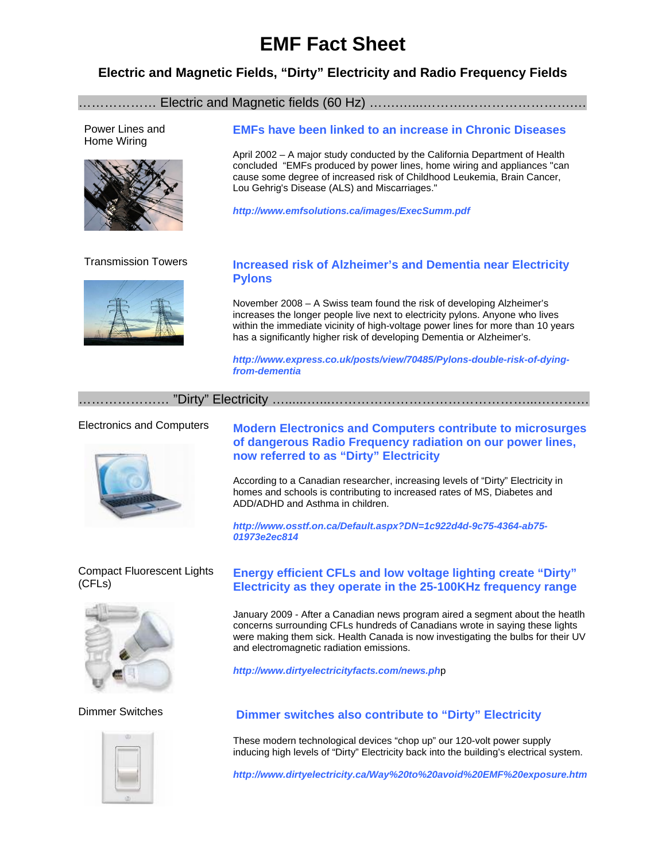# **EMF Fact Sheet**

### **Electric and Magnetic Fields, "Dirty" Electricity and Radio Frequency Fields**

#### ……………… Electric and Magnetic fields (60 Hz) …….…...……….…………………….…

Power Lines and Home Wiring



## **EMFs have been linked to an increase in Chronic Diseases**

April 2002 – A major study conducted by the California Department of Health concluded "EMFs produced by power lines, home wiring and appliances "can cause some degree of increased risk of Childhood Leukemia, Brain Cancer, Lou Gehrig's Disease (ALS) and Miscarriages."

*http://www.emfsolutions.ca/images/ExecSumm.pdf* 



### Transmission Towers **Increased risk of Alzheimer's and Dementia near Electricity Pylons**

November 2008 – A Swiss team found the risk of developing Alzheimer's increases the longer people live next to electricity pylons. Anyone who lives within the immediate vicinity of high-voltage power lines for more than 10 years has a significantly higher risk of developing Dementia or Alzheimer's.

*http://www.express.co.uk/posts/view/70485/Pylons-double-risk-of-dyingfrom-dementia*

………………… "Dirty" Electricity …......…...………………………………………...…………

#### Electronics and Computers



#### Compact Fluorescent Lights (CFLs)



Dimmer Switches

**Modern Electronics and Computers contribute to microsurges of dangerous Radio Frequency radiation on our power lines, now referred to as "Dirty" Electricity** 

According to a Canadian researcher, increasing levels of "Dirty" Electricity in homes and schools is contributing to increased rates of MS, Diabetes and ADD/ADHD and Asthma in children.

*http://www.osstf.on.ca/Default.aspx?DN=1c922d4d-9c75-4364-ab75- 01973e2ec814*

### **Energy efficient CFLs and low voltage lighting create "Dirty" Electricity as they operate in the 25-100KHz frequency range**

January 2009 - After a Canadian news program aired a segment about the heatlh concerns surrounding CFLs hundreds of Canadians wrote in saying these lights were making them sick. Health Canada is now investigating the bulbs for their UV and electromagnetic radiation emissions.

*http://www.dirtyelectricityfacts.com/news.ph*p

#### **Dimmer switches also contribute to "Dirty" Electricity**

These modern technological devices "chop up" our 120-volt power supply inducing high levels of "Dirty" Electricity back into the building's electrical system.

*http://www.dirtyelectricity.ca/Way%20to%20avoid%20EMF%20exposure.htm*